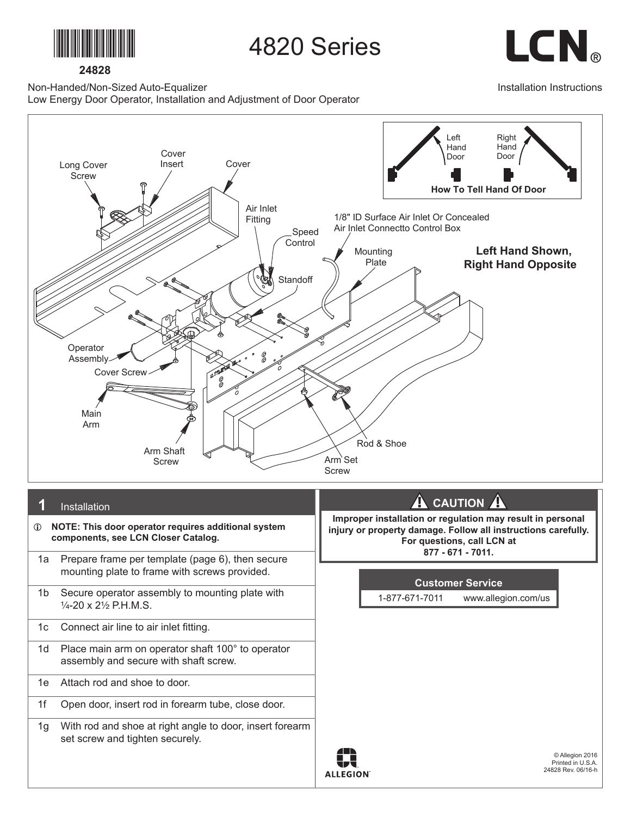

**24828**

4820 Series

LCN.

Installation Instructions

Non-Handed/Non-Sized Auto-Equalizer

Low Energy Door Operator, Installation and Adjustment of Door Operator

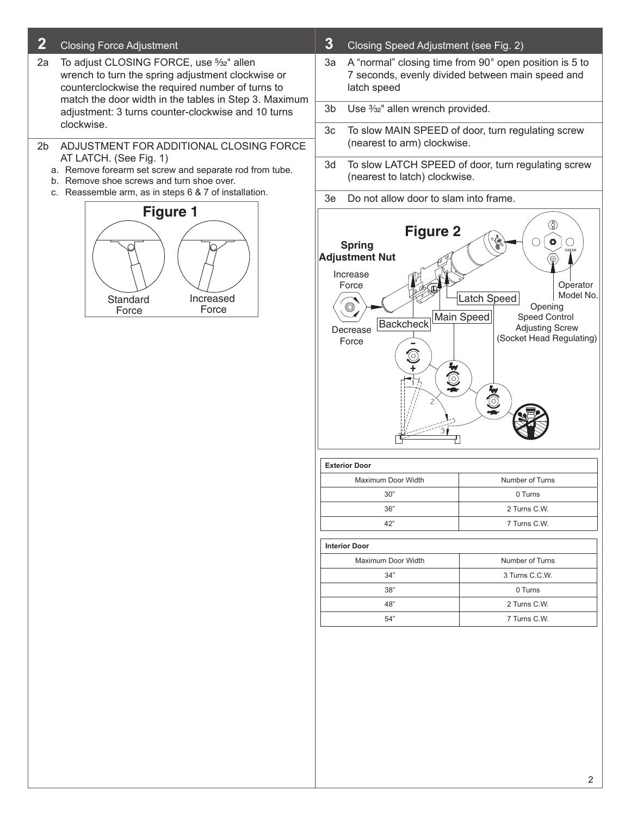## **2** Closing Force Adjustment

- 2a To adjust CLOSING FORCE, use 5/32" allen wrench to turn the spring adjustment clockwise or counterclockwise the required number of turns to match the door width in the tables in Step 3. Maximum adjustment: 3 turns counter-clockwise and 10 turns clockwise.
- 2b ADJUSTMENT FOR ADDITIONAL CLOSING FORCE AT LATCH. (See Fig. 1)
	- a. Remove forearm set screw and separate rod from tube.
	- b. Remove shoe screws and turn shoe over.
	- c. Reassemble arm, as in steps 6 & 7 of installation.



- **3** Closing Speed Adjustment (see Fig. 2)
- 3a A "normal" closing time from 90° open position is 5 to 7 seconds, evenly divided between main speed and latch speed
- 3b Use  $\frac{3}{2}$ " allen wrench provided.
- 3c To slow MAIN SPEED of door, turn regulating screw (nearest to arm) clockwise.
- 3d To slow LATCH SPEED of door, turn regulating screw (nearest to latch) clockwise.
- 3e Do not allow door to slam into frame.



| <b>Exterior Door</b> |                 |  |  |
|----------------------|-----------------|--|--|
| Maximum Door Width   | Number of Turns |  |  |
| 30"                  | 0 Turns         |  |  |
| 36"                  | 2 Turns C.W.    |  |  |
| 42"                  | 7 Turns C.W.    |  |  |
|                      |                 |  |  |

**Interior Door**

| Number of Turns |  |
|-----------------|--|
| 3 Turns C.C.W.  |  |
| 0 Turns         |  |
| 2 Turns C.W.    |  |
| 7 Turns C.W.    |  |
|                 |  |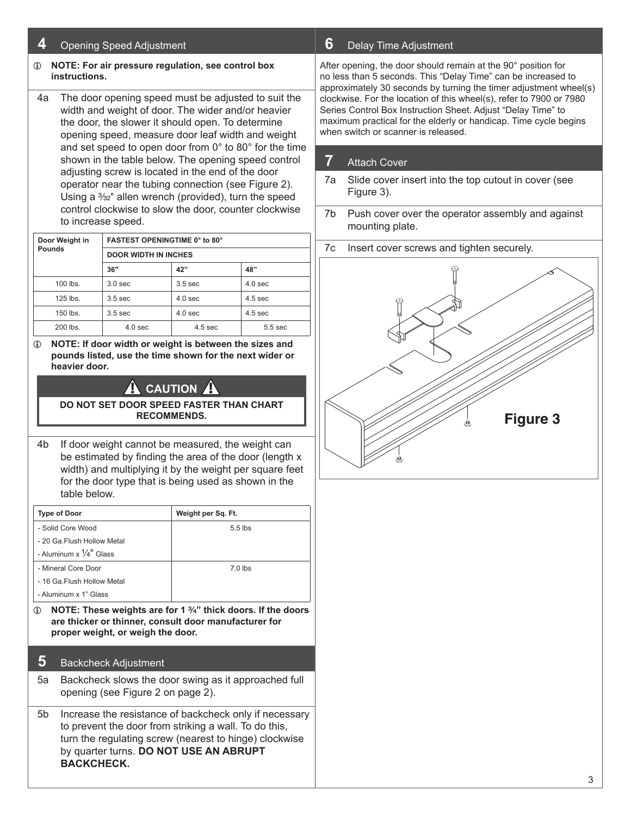## **4** Opening Speed Adjustment

#### L **NOTE: For air pressure regulation, see control box instructions.**

4a The door opening speed must be adjusted to suit the width and weight of door. The wider and/or heavier the door, the slower it should open. To determine opening speed, measure door leaf width and weight and set speed to open door from 0° to 80° for the time shown in the table below. The opening speed control adjusting screw is located in the end of the door operator near the tubing connection (see Figure 2). Using a 3/32" allen wrench (provided), turn the speed control clockwise to slow the door, counter clockwise to increase speed.

| Door Weight in | <b>FASTEST OPENINGTIME 0° to 80°</b><br><b>DOOR WIDTH IN INCHES</b> |                    |                    |  |
|----------------|---------------------------------------------------------------------|--------------------|--------------------|--|
| <b>Pounds</b>  |                                                                     |                    |                    |  |
|                | 36"                                                                 | 42"                | 48"                |  |
| $100$ lbs.     | 3.0 <sub>sec</sub>                                                  | 3.5 <sub>sec</sub> | 4.0 <sub>sec</sub> |  |
| $125$ lbs.     | 3.5 <sub>sec</sub>                                                  | 4.0 <sub>sec</sub> | $4.5$ sec          |  |
| $150$ lbs.     | 3.5 <sub>sec</sub>                                                  | $4.0$ sec          | $4.5$ sec          |  |
| 200 lbs.       | 4.0 <sub>sec</sub>                                                  | 4.5 <sub>sec</sub> | $5.5$ sec          |  |

L **NOTE: If door width or weight is between the sizes and pounds listed, use the time shown for the next wider or heavier door.**

# **CAUTION**

#### **DO NOT SET DOOR SPEED FASTER THAN CHART RECOMMENDS.**

4b If door weight cannot be measured, the weight can be estimated by finding the area of the door (length x width) and multiplying it by the weight per square feet for the door type that is being used as shown in the table below.

| <b>Type of Door</b>                       | Weight per Sq. Ft. |
|-------------------------------------------|--------------------|
| - Solid Core Wood                         | $5.5$ lbs          |
| - 20 Ga. Flush Hollow Metal               |                    |
| - Aluminum $\times$ $\frac{1}{4}$ " Glass |                    |
| - Mineral Core Door                       | $7.0$ lbs          |
| - 16 Ga. Flush Hollow Metal               |                    |
| - Aluminum x 1" Glass                     |                    |

L **NOTE: These weights are for 1 C\v" thick doors. If the doors are thicker or thinner, consult door manufacturer for proper weight, or weigh the door.**

### **5** Backcheck Adjustment

- 5a Backcheck slows the door swing as it approached full opening (see Figure 2 on page 2).
- 5b Increase the resistance of backcheck only if necessary to prevent the door from striking a wall. To do this, turn the regulating screw (nearest to hinge) clockwise by quarter turns. **DO NOT USE AN ABRUPT BACKCHECK.**

### **6** Delay Time Adjustment

After opening, the door should remain at the 90° position for no less than 5 seconds. This "Delay Time" can be increased to approximately 30 seconds by turning the timer adjustment wheel(s) clockwise. For the location of this wheel(s), refer to 7900 or 7980 Series Control Box Instruction Sheet. Adjust "Delay Time" to maximum practical for the elderly or handicap. Time cycle begins when switch or scanner is released.

## **7** Attach Cover

- 7a Slide cover insert into the top cutout in cover (see Figure 3).
- 7b Push cover over the operator assembly and against mounting plate.
- 7c Insert cover screws and tighten securely.

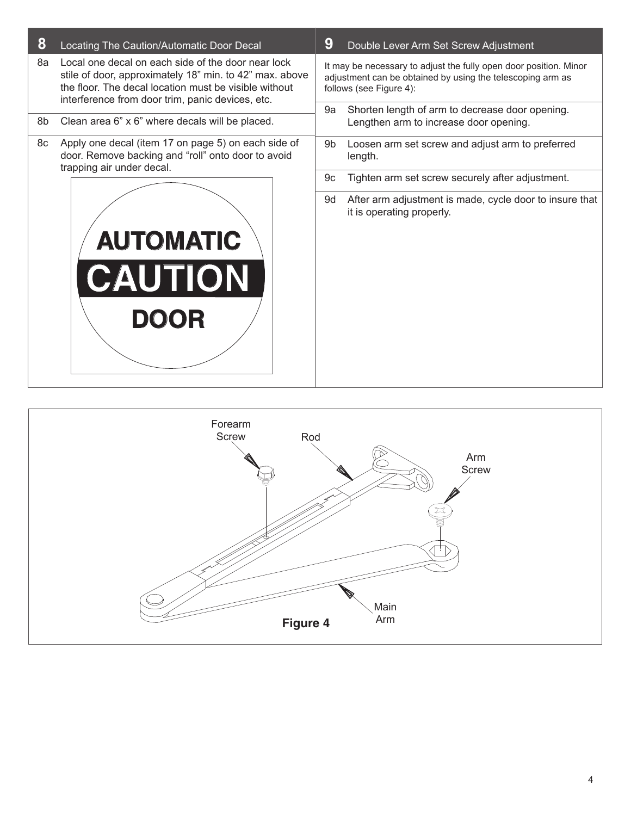| 8                                                                                                                                                                                                                                | Locating The Caution/Automatic Door Decal                                                                 | 9                                                                                                                                                          | Double Lever Arm Set Screw Adjustment                                                     |  |
|----------------------------------------------------------------------------------------------------------------------------------------------------------------------------------------------------------------------------------|-----------------------------------------------------------------------------------------------------------|------------------------------------------------------------------------------------------------------------------------------------------------------------|-------------------------------------------------------------------------------------------|--|
| Local one decal on each side of the door near lock<br>8а<br>stile of door, approximately 18" min. to 42" max. above<br>the floor. The decal location must be visible without<br>interference from door trim, panic devices, etc. |                                                                                                           | It may be necessary to adjust the fully open door position. Minor<br>adjustment can be obtained by using the telescoping arm as<br>follows (see Figure 4): |                                                                                           |  |
| 8b                                                                                                                                                                                                                               | Clean area 6" x 6" where decals will be placed.                                                           |                                                                                                                                                            | Shorten length of arm to decrease door opening.<br>Lengthen arm to increase door opening. |  |
| 8с                                                                                                                                                                                                                               | Apply one decal (item 17 on page 5) on each side of<br>door. Remove backing and "roll" onto door to avoid |                                                                                                                                                            | Loosen arm set screw and adjust arm to preferred<br>length.                               |  |
| trapping air under decal.                                                                                                                                                                                                        | 9c                                                                                                        | Tighten arm set screw securely after adjustment.                                                                                                           |                                                                                           |  |
| <b>AUTOMATIC</b><br><b>CAUTION</b><br><b>DOOR</b>                                                                                                                                                                                |                                                                                                           | 9d                                                                                                                                                         | After arm adjustment is made, cycle door to insure that<br>it is operating properly.      |  |

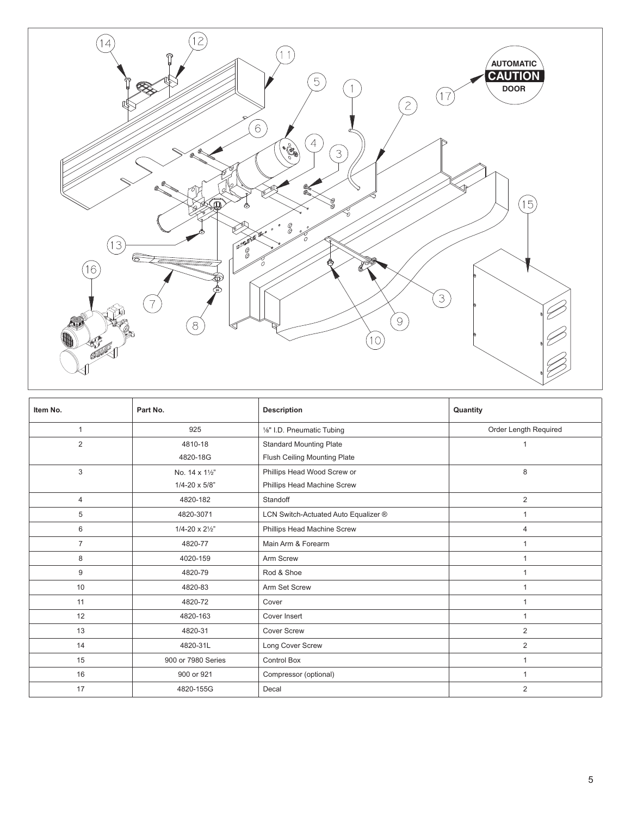

| Item No.       | Part No.                       | <b>Description</b>                   | Quantity              |
|----------------|--------------------------------|--------------------------------------|-----------------------|
| $\mathbf{1}$   | 925                            | 1/8" I.D. Pneumatic Tubing           | Order Length Required |
| $\overline{2}$ | 4810-18                        | <b>Standard Mounting Plate</b>       |                       |
|                | 4820-18G                       | Flush Ceiling Mounting Plate         |                       |
| 3              | No. 14 x 11/2"                 | Phillips Head Wood Screw or          | 8                     |
|                | $1/4 - 20 \times 5/8$ "        | Phillips Head Machine Screw          |                       |
| $\overline{4}$ | 4820-182                       | Standoff                             | 2                     |
| 5              | 4820-3071                      | LCN Switch-Actuated Auto Equalizer ® | $\overline{1}$        |
| 6              | $1/4 - 20 \times 2\frac{1}{2}$ | Phillips Head Machine Screw          | $\overline{4}$        |
| $\overline{7}$ | 4820-77                        | Main Arm & Forearm                   | $\mathbf{1}$          |
| 8              | 4020-159                       | Arm Screw                            | $\overline{1}$        |
| 9              | 4820-79                        | Rod & Shoe                           |                       |
| 10             | 4820-83                        | Arm Set Screw                        | 1                     |
| 11             | 4820-72                        | Cover                                | 1                     |
| 12             | 4820-163                       | Cover Insert                         | $\mathbf{1}$          |
| 13             | 4820-31                        | <b>Cover Screw</b>                   | 2                     |
| 14             | 4820-31L                       | Long Cover Screw                     | 2                     |
| 15             | 900 or 7980 Series             | <b>Control Box</b>                   | 1                     |
| 16             | 900 or 921                     | Compressor (optional)                | $\overline{1}$        |
| 17             | 4820-155G                      | Decal                                | 2                     |